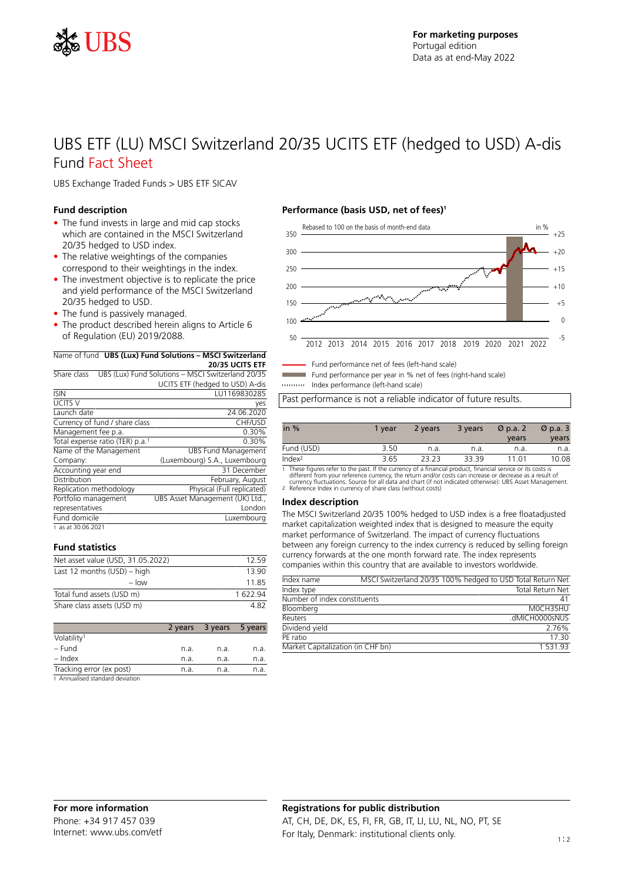

## UBS ETF (LU) MSCI Switzerland 20/35 UCITS ETF (hedged to USD) A-dis Fund Fact Sheet

UBS Exchange Traded Funds > UBS ETF SICAV

### **Fund description**

- The fund invests in large and mid cap stocks which are contained in the MSCI Switzerland 20/35 hedged to USD index.
- The relative weightings of the companies correspond to their weightings in the index.
- The investment objective is to replicate the price and yield performance of the MSCI Switzerland 20/35 hedged to USD.
- The fund is passively managed.
- The product described herein aligns to Article 6 of Regulation (EU) 2019/2088.

### Name of fund **UBS (Lux) Fund Solutions – MSCI Switzerland**

|                                             | IName of fund <b>UBS (Lux) Fund Solutions – MSCI Switzerland</b> |
|---------------------------------------------|------------------------------------------------------------------|
|                                             | 20/35 UCITS ETF                                                  |
| Share class                                 | UBS (Lux) Fund Solutions - MSCI Switzerland 20/35                |
|                                             | UCITS ETF (hedged to USD) A-dis                                  |
| <b>ISIN</b>                                 | LU1169830285                                                     |
| <b>UCITS V</b>                              | yes                                                              |
| Launch date                                 | 24.06.2020                                                       |
| Currency of fund / share class              | CHF/USD                                                          |
| Management fee p.a.                         | 0.30%                                                            |
| Total expense ratio (TER) p.a. <sup>1</sup> | 0.30%                                                            |
| Name of the Management                      | <b>UBS Fund Management</b>                                       |
| Company:                                    | (Luxembourg) S.A., Luxembourg                                    |
| Accounting year end                         | 31 December                                                      |
| Distribution                                | February, August                                                 |

| Replication methodology | Physical (Full replicated)      |
|-------------------------|---------------------------------|
| Portfolio management    | UBS Asset Management (UK) Ltd., |
| representatives         | London                          |
| Fund domicile           | Luxembourg                      |

|  |  |  |  |  | as at 30.06.2021 |  |
|--|--|--|--|--|------------------|--|
|--|--|--|--|--|------------------|--|

### **Fund statistics**

| Net asset value (USD, 31.05.2022) | 12.59  |
|-----------------------------------|--------|
| Last 12 months $(USD)$ – high     | 13 90  |
| $-$ low                           | 1185   |
| Total fund assets (USD m)         | 162294 |
| Share class assets (USD m)        | 482    |

|                                 | 2 years | 3 years | 5 years |
|---------------------------------|---------|---------|---------|
| Volatility <sup>1</sup>         |         |         |         |
| – Fund                          | n.a.    | n.a.    | n.a.    |
| $-$ Index                       | n.a.    | n.a.    | n.a.    |
| Tracking error (ex post)        | n.a.    | n.a.    | n.a.    |
| 1 Annualicad standard deviation |         |         |         |

1 Annualised standard deviation

### **Performance (basis USD, net of fees)<sup>1</sup>**



Fund performance net of fees (left-hand scale)

Fund performance per year in % net of fees (right-hand scale)

Index performance (left-hand scale)

Past performance is not a reliable indicator of future results.

| in $%$             | 1 vear | 3 years<br>2 years |       | $\varnothing$ p.a. 2 | $\varnothing$ p.a. 3 |
|--------------------|--------|--------------------|-------|----------------------|----------------------|
|                    |        |                    |       | years                | years                |
| Fund (USD)         | 3.50   | n.a.               | n.a.  | n.a.                 | n.a.                 |
| Index <sup>2</sup> | 3.65   | 23.23              | 33.39 | 11 01                | 10.08                |

1 These figures refer to the past. If the currency of a financial product, financial service or its costs is<br>different from your reference currency, the return and/or costs can increase or decrease as a result of<br>currency

#### **Index description**

The MSCI Switzerland 20/35 100% hedged to USD index is a free floatadjusted market capitalization weighted index that is designed to measure the equity market performance of Switzerland. The impact of currency fluctuations between any foreign currency to the index currency is reduced by selling foreign currency forwards at the one month forward rate. The index represents companies within this country that are available to investors worldwide.

| Index name                        | MSCI Switzerland 20/35 100% hedged to USD Total Return Net |
|-----------------------------------|------------------------------------------------------------|
| Index type                        | <b>Total Return Net</b>                                    |
| Number of index constituents      | 41                                                         |
| Bloomberg                         | MOCH35HU                                                   |
| Reuters                           | .dMICH0000sNUS                                             |
| Dividend yield                    | 2.76%                                                      |
| PF ratio                          | 17 30                                                      |
| Market Capitalization (in CHF bn) | 1 531 93                                                   |

## **Registrations for public distribution** AT, CH, DE, DK, ES, FI, FR, GB, IT, LI, LU, NL, NO, PT, SE For Italy, Denmark: institutional clients only.  $1$ !